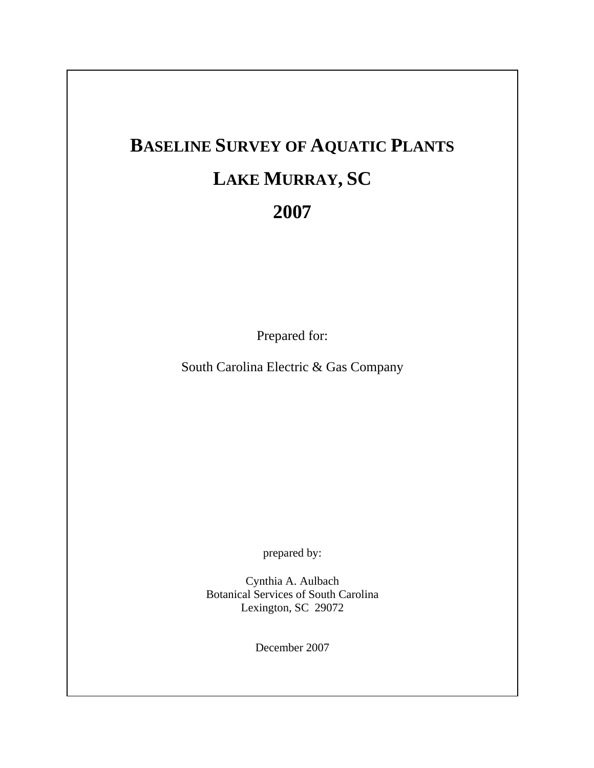# **BASELINE SURVEY OF AQUATIC PLANTS LAKE MURRAY, SC 2007**

Prepared for:

South Carolina Electric & Gas Company

prepared by:

Cynthia A. Aulbach Botanical Services of South Carolina Lexington, SC 29072

December 2007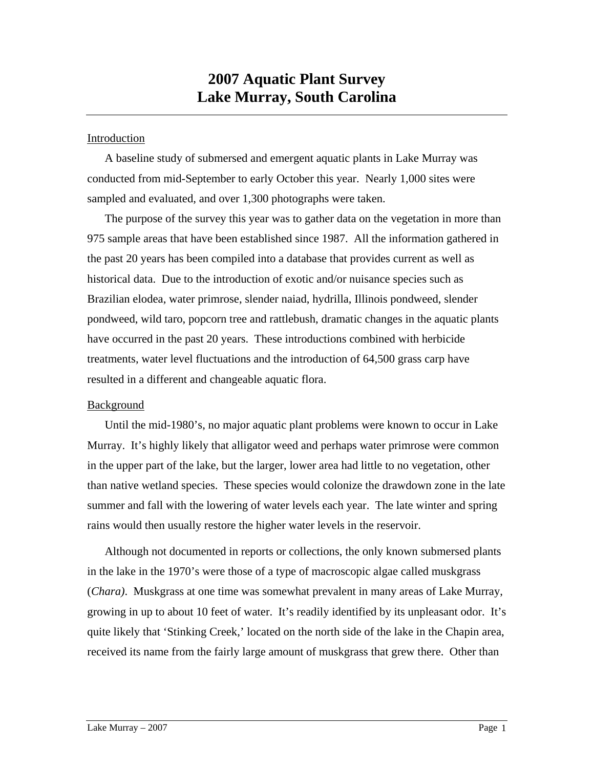# **2007 Aquatic Plant Survey Lake Murray, South Carolina**

## **Introduction**

A baseline study of submersed and emergent aquatic plants in Lake Murray was conducted from mid-September to early October this year. Nearly 1,000 sites were sampled and evaluated, and over 1,300 photographs were taken.

The purpose of the survey this year was to gather data on the vegetation in more than 975 sample areas that have been established since 1987. All the information gathered in the past 20 years has been compiled into a database that provides current as well as historical data. Due to the introduction of exotic and/or nuisance species such as Brazilian elodea, water primrose, slender naiad, hydrilla, Illinois pondweed, slender pondweed, wild taro, popcorn tree and rattlebush, dramatic changes in the aquatic plants have occurred in the past 20 years. These introductions combined with herbicide treatments, water level fluctuations and the introduction of 64,500 grass carp have resulted in a different and changeable aquatic flora.

### Background

Until the mid-1980's, no major aquatic plant problems were known to occur in Lake Murray. It's highly likely that alligator weed and perhaps water primrose were common in the upper part of the lake, but the larger, lower area had little to no vegetation, other than native wetland species. These species would colonize the drawdown zone in the late summer and fall with the lowering of water levels each year. The late winter and spring rains would then usually restore the higher water levels in the reservoir.

Although not documented in reports or collections, the only known submersed plants in the lake in the 1970's were those of a type of macroscopic algae called muskgrass (*Chara)*. Muskgrass at one time was somewhat prevalent in many areas of Lake Murray, growing in up to about 10 feet of water. It's readily identified by its unpleasant odor. It's quite likely that 'Stinking Creek,' located on the north side of the lake in the Chapin area, received its name from the fairly large amount of muskgrass that grew there. Other than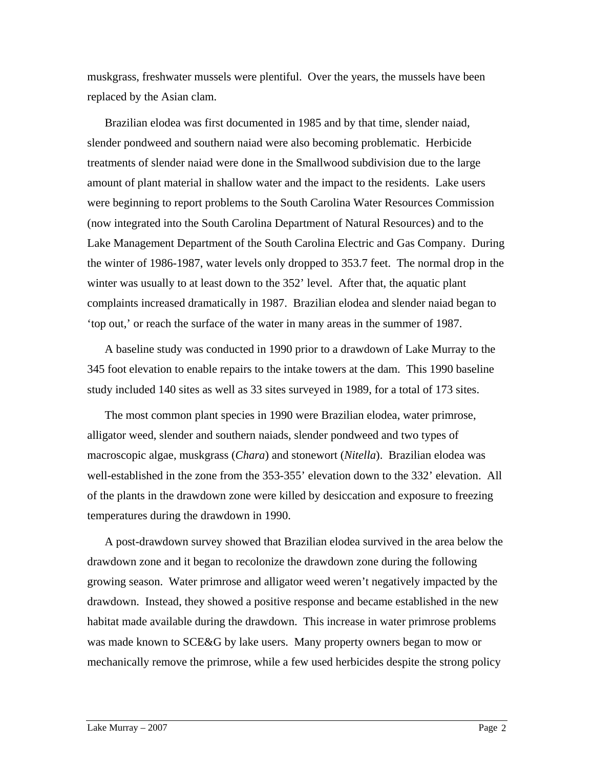muskgrass, freshwater mussels were plentiful. Over the years, the mussels have been replaced by the Asian clam.

Brazilian elodea was first documented in 1985 and by that time, slender naiad, slender pondweed and southern naiad were also becoming problematic. Herbicide treatments of slender naiad were done in the Smallwood subdivision due to the large amount of plant material in shallow water and the impact to the residents. Lake users were beginning to report problems to the South Carolina Water Resources Commission (now integrated into the South Carolina Department of Natural Resources) and to the Lake Management Department of the South Carolina Electric and Gas Company. During the winter of 1986-1987, water levels only dropped to 353.7 feet. The normal drop in the winter was usually to at least down to the 352' level. After that, the aquatic plant complaints increased dramatically in 1987. Brazilian elodea and slender naiad began to 'top out,' or reach the surface of the water in many areas in the summer of 1987.

A baseline study was conducted in 1990 prior to a drawdown of Lake Murray to the 345 foot elevation to enable repairs to the intake towers at the dam. This 1990 baseline study included 140 sites as well as 33 sites surveyed in 1989, for a total of 173 sites.

The most common plant species in 1990 were Brazilian elodea, water primrose, alligator weed, slender and southern naiads, slender pondweed and two types of macroscopic algae, muskgrass (*Chara*) and stonewort (*Nitella*). Brazilian elodea was well-established in the zone from the 353-355' elevation down to the 332' elevation. All of the plants in the drawdown zone were killed by desiccation and exposure to freezing temperatures during the drawdown in 1990.

A post-drawdown survey showed that Brazilian elodea survived in the area below the drawdown zone and it began to recolonize the drawdown zone during the following growing season. Water primrose and alligator weed weren't negatively impacted by the drawdown. Instead, they showed a positive response and became established in the new habitat made available during the drawdown. This increase in water primrose problems was made known to SCE&G by lake users. Many property owners began to mow or mechanically remove the primrose, while a few used herbicides despite the strong policy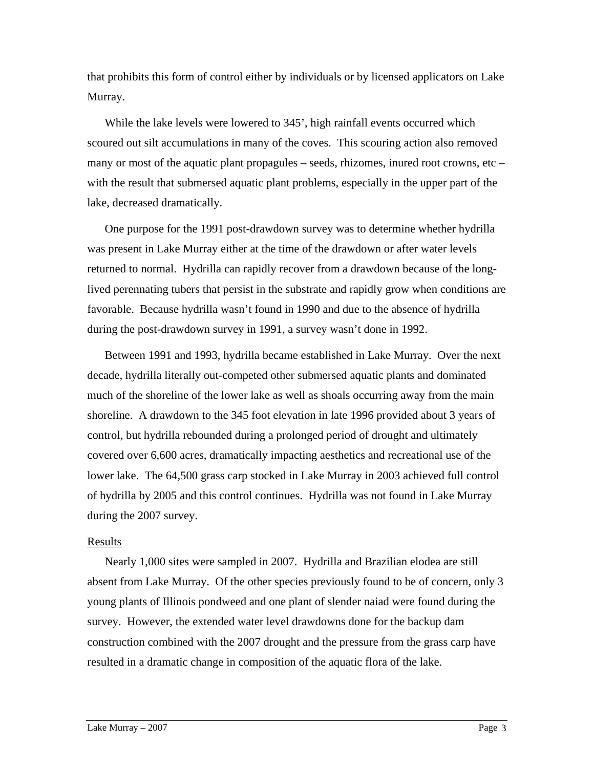that prohibits this form of control either by individuals or by licensed applicators on Lake Murray.

While the lake levels were lowered to 345', high rainfall events occurred which scoured out silt accumulations in many of the coves. This scouring action also removed many or most of the aquatic plant propagules – seeds, rhizomes, inured root crowns, etc – with the result that submersed aquatic plant problems, especially in the upper part of the lake, decreased dramatically.

One purpose for the 1991 post-drawdown survey was to determine whether hydrilla was present in Lake Murray either at the time of the drawdown or after water levels returned to normal. Hydrilla can rapidly recover from a drawdown because of the longlived perennating tubers that persist in the substrate and rapidly grow when conditions are favorable. Because hydrilla wasn't found in 1990 and due to the absence of hydrilla during the post-drawdown survey in 1991, a survey wasn't done in 1992.

Between 1991 and 1993, hydrilla became established in Lake Murray. Over the next decade, hydrilla literally out-competed other submersed aquatic plants and dominated much of the shoreline of the lower lake as well as shoals occurring away from the main shoreline. A drawdown to the 345 foot elevation in late 1996 provided about 3 years of control, but hydrilla rebounded during a prolonged period of drought and ultimately covered over 6,600 acres, dramatically impacting aesthetics and recreational use of the lower lake. The 64,500 grass carp stocked in Lake Murray in 2003 achieved full control of hydrilla by 2005 and this control continues. Hydrilla was not found in Lake Murray during the 2007 survey.

#### Results

Nearly 1,000 sites were sampled in 2007. Hydrilla and Brazilian elodea are still absent from Lake Murray. Of the other species previously found to be of concern, only 3 young plants of Illinois pondweed and one plant of slender naiad were found during the survey. However, the extended water level drawdowns done for the backup dam construction combined with the 2007 drought and the pressure from the grass carp have resulted in a dramatic change in composition of the aquatic flora of the lake.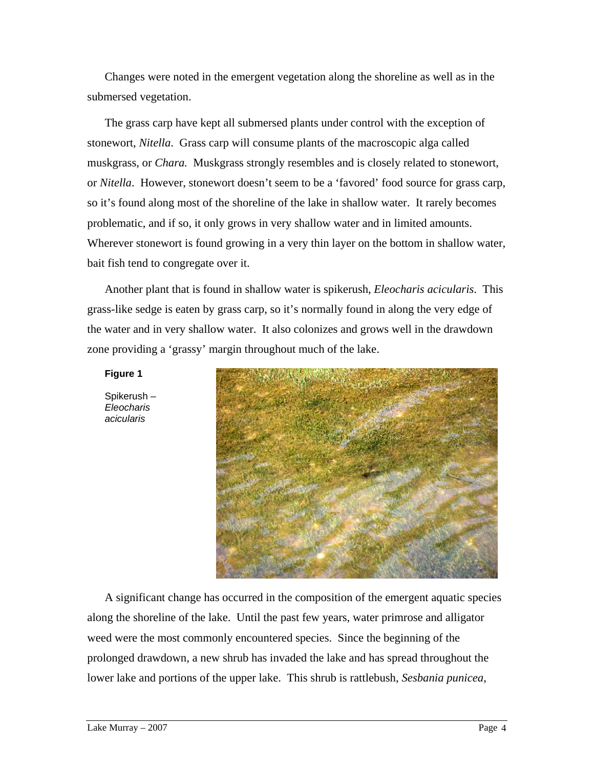Changes were noted in the emergent vegetation along the shoreline as well as in the submersed vegetation.

The grass carp have kept all submersed plants under control with the exception of stonewort, *Nitella*. Grass carp will consume plants of the macroscopic alga called muskgrass, or *Chara.* Muskgrass strongly resembles and is closely related to stonewort, or *Nitella*. However, stonewort doesn't seem to be a 'favored' food source for grass carp, so it's found along most of the shoreline of the lake in shallow water. It rarely becomes problematic, and if so, it only grows in very shallow water and in limited amounts. Wherever stonewort is found growing in a very thin layer on the bottom in shallow water, bait fish tend to congregate over it.

Another plant that is found in shallow water is spikerush, *Eleocharis acicularis*. This grass-like sedge is eaten by grass carp, so it's normally found in along the very edge of the water and in very shallow water. It also colonizes and grows well in the drawdown zone providing a 'grassy' margin throughout much of the lake.

#### **Figure 1**

Spikerush – *Eleocharis acicularis*



A significant change has occurred in the composition of the emergent aquatic species along the shoreline of the lake. Until the past few years, water primrose and alligator weed were the most commonly encountered species. Since the beginning of the prolonged drawdown, a new shrub has invaded the lake and has spread throughout the lower lake and portions of the upper lake. This shrub is rattlebush, *Sesbania punicea*,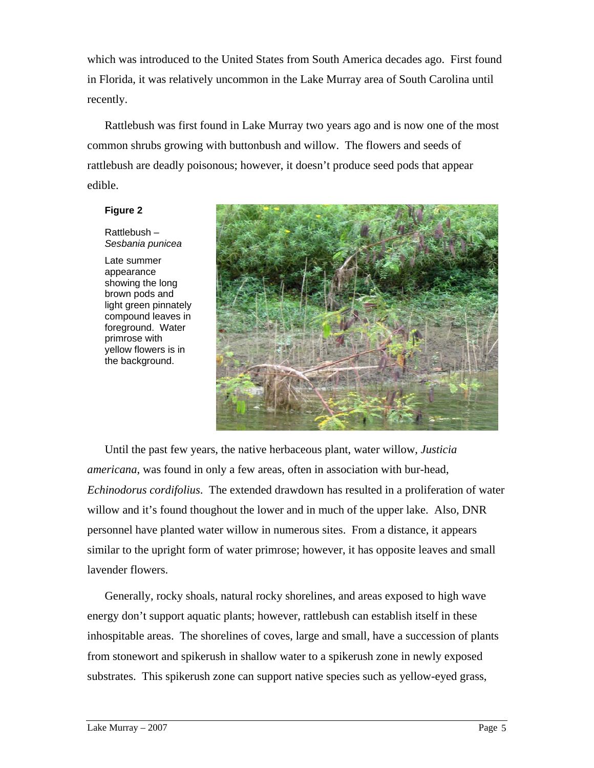which was introduced to the United States from South America decades ago. First found in Florida, it was relatively uncommon in the Lake Murray area of South Carolina until recently.

Rattlebush was first found in Lake Murray two years ago and is now one of the most common shrubs growing with buttonbush and willow. The flowers and seeds of rattlebush are deadly poisonous; however, it doesn't produce seed pods that appear edible.

#### **Figure 2**

Rattlebush – *Sesbania punicea* 

Late summer appearance showing the long brown pods and light green pinnately compound leaves in foreground. Water primrose with yellow flowers is in the background.



Until the past few years, the native herbaceous plant, water willow, *Justicia americana*, was found in only a few areas, often in association with bur-head, *Echinodorus cordifolius*. The extended drawdown has resulted in a proliferation of water willow and it's found thoughout the lower and in much of the upper lake. Also, DNR personnel have planted water willow in numerous sites. From a distance, it appears similar to the upright form of water primrose; however, it has opposite leaves and small lavender flowers.

Generally, rocky shoals, natural rocky shorelines, and areas exposed to high wave energy don't support aquatic plants; however, rattlebush can establish itself in these inhospitable areas. The shorelines of coves, large and small, have a succession of plants from stonewort and spikerush in shallow water to a spikerush zone in newly exposed substrates. This spikerush zone can support native species such as yellow-eyed grass,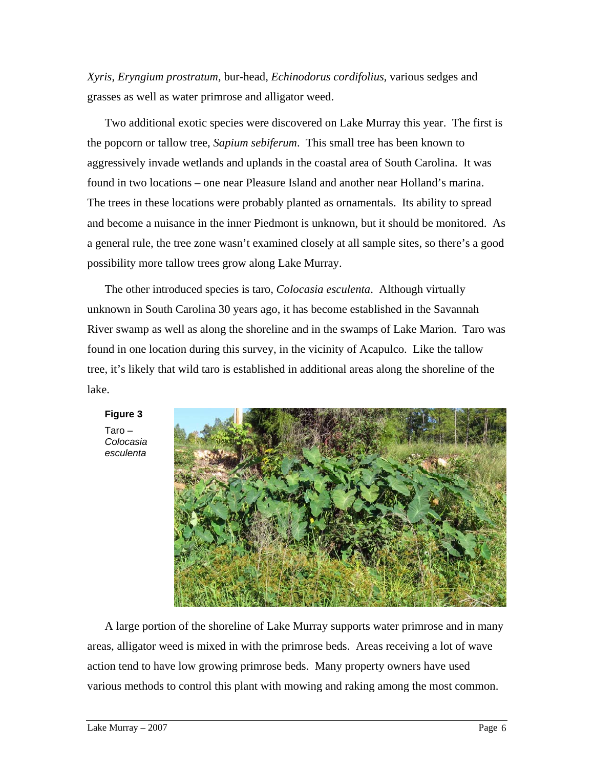*Xyris*, *Eryngium prostratum,* bur-head, *Echinodorus cordifolius,* various sedges and grasses as well as water primrose and alligator weed.

Two additional exotic species were discovered on Lake Murray this year. The first is the popcorn or tallow tree, *Sapium sebiferum*. This small tree has been known to aggressively invade wetlands and uplands in the coastal area of South Carolina. It was found in two locations – one near Pleasure Island and another near Holland's marina. The trees in these locations were probably planted as ornamentals. Its ability to spread and become a nuisance in the inner Piedmont is unknown, but it should be monitored. As a general rule, the tree zone wasn't examined closely at all sample sites, so there's a good possibility more tallow trees grow along Lake Murray.

The other introduced species is taro, *Colocasia esculenta*. Although virtually unknown in South Carolina 30 years ago, it has become established in the Savannah River swamp as well as along the shoreline and in the swamps of Lake Marion. Taro was found in one location during this survey, in the vicinity of Acapulco. Like the tallow tree, it's likely that wild taro is established in additional areas along the shoreline of the lake.



**Figure 3** 

Taro – *Colocasia esculenta* 

A large portion of the shoreline of Lake Murray supports water primrose and in many areas, alligator weed is mixed in with the primrose beds. Areas receiving a lot of wave action tend to have low growing primrose beds. Many property owners have used various methods to control this plant with mowing and raking among the most common.